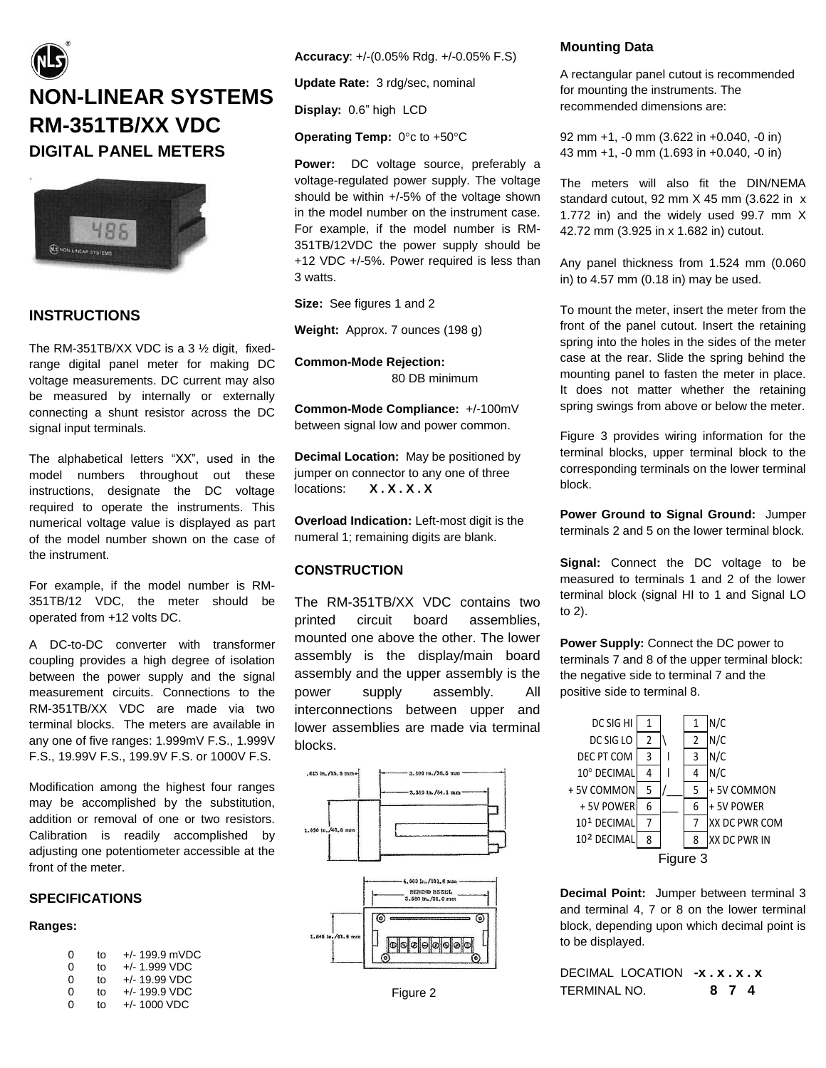# **NON-LINEAR SYSTEMS RM-351TB/XX VDC DIGITAL PANEL METERS**



# **INSTRUCTIONS**

The RM-351TB/XX VDC is a 3 ½ digit, fixedrange digital panel meter for making DC voltage measurements. DC current may also be measured by internally or externally connecting a shunt resistor across the DC signal input terminals.

The alphabetical letters "XX", used in the model numbers throughout out these instructions, designate the DC voltage required to operate the instruments. This numerical voltage value is displayed as part of the model number shown on the case of the instrument.

For example, if the model number is RM-351TB/12 VDC, the meter should be operated from +12 volts DC.

A DC-to-DC converter with transformer coupling provides a high degree of isolation between the power supply and the signal measurement circuits. Connections to the RM-351TB/XX VDC are made via two terminal blocks. The meters are available in any one of five ranges: 1.999mV F.S., 1.999V F.S., 19.99V F.S., 199.9V F.S. or 1000V F.S.

Modification among the highest four ranges may be accomplished by the substitution, addition or removal of one or two resistors. Calibration is readily accomplished by adjusting one potentiometer accessible at the front of the meter.

#### **SPECIFICATIONS**

# **Ranges:**

| 0 | to | $+/- 199.9$ mVDC |
|---|----|------------------|
| 0 | to | $+/- 1.999$ VDC  |
| 0 | to | $+/- 19.99$ VDC  |
| 0 | to | $+/- 199.9$ VDC  |
| 0 | t٥ | $+/- 1000 VDC$   |

**Accuracy**: +/-(0.05% Rdg. +/-0.05% F.S)

**Update Rate:** 3 rdg/sec, nominal

**Display:** 0.6" high LCD

**Operating Temp:** 0°c to +50°C

**Power:** DC voltage source, preferably a voltage-regulated power supply. The voltage should be within +/-5% of the voltage shown in the model number on the instrument case. For example, if the model number is RM-351TB/12VDC the power supply should be +12 VDC +/-5%. Power required is less than 3 watts.

**Size:** See figures 1 and 2

**Weight:** Approx. 7 ounces (198 g)

**Common-Mode Rejection:** 80 DB minimum

**Common-Mode Compliance:** +/-100mV between signal low and power common.

**Decimal Location:** May be positioned by jumper on connector to any one of three locations: **X . X . X . X**

**Overload Indication:** Left-most digit is the numeral 1; remaining digits are blank.

## **CONSTRUCTION**

The RM-351TB/XX VDC contains two printed circuit board assemblies, mounted one above the other. The lower assembly is the display/main board assembly and the upper assembly is the power supply assembly. All interconnections between upper and lower assemblies are made via terminal blocks.



## **Mounting Data**

A rectangular panel cutout is recommended for mounting the instruments. The recommended dimensions are:

92 mm +1, -0 mm (3.622 in +0.040, -0 in) 43 mm +1, -0 mm (1.693 in +0.040, -0 in)

The meters will also fit the DIN/NEMA standard cutout, 92 mm X 45 mm (3.622 in x 1.772 in) and the widely used 99.7 mm X 42.72 mm (3.925 in x 1.682 in) cutout.

Any panel thickness from 1.524 mm (0.060 in) to 4.57 mm (0.18 in) may be used.

To mount the meter, insert the meter from the front of the panel cutout. Insert the retaining spring into the holes in the sides of the meter case at the rear. Slide the spring behind the mounting panel to fasten the meter in place. It does not matter whether the retaining spring swings from above or below the meter.

Figure 3 provides wiring information for the terminal blocks, upper terminal block to the corresponding terminals on the lower terminal block.

**Power Ground to Signal Ground:** Jumper terminals 2 and 5 on the lower terminal block.

**Signal:** Connect the DC voltage to be measured to terminals 1 and 2 of the lower terminal block (signal HI to 1 and Signal LO to 2).

**Power Supply:** Connect the DC power to terminals 7 and 8 of the upper terminal block: the negative side to terminal 7 and the positive side to terminal 8.



**Decimal Point:** Jumper between terminal 3 and terminal 4, 7 or 8 on the lower terminal block, depending upon which decimal point is to be displayed.

DECIMAL LOCATION **-x . x . x . x** TERMINAL NO. **8 7 4**